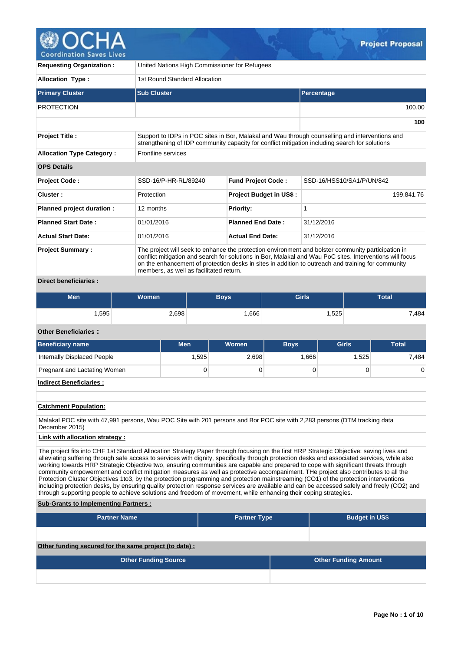

| <b>Requesting Organization:</b>  | United Nations High Commissioner for Refugees                                                                                                                                                                                                                                                                                                                   |                                |                           |  |  |  |  |  |  |  |
|----------------------------------|-----------------------------------------------------------------------------------------------------------------------------------------------------------------------------------------------------------------------------------------------------------------------------------------------------------------------------------------------------------------|--------------------------------|---------------------------|--|--|--|--|--|--|--|
| <b>Allocation Type:</b>          | 1st Round Standard Allocation                                                                                                                                                                                                                                                                                                                                   |                                |                           |  |  |  |  |  |  |  |
| <b>Primary Cluster</b>           | <b>Sub Cluster</b>                                                                                                                                                                                                                                                                                                                                              |                                | <b>Percentage</b>         |  |  |  |  |  |  |  |
| <b>PROTECTION</b>                |                                                                                                                                                                                                                                                                                                                                                                 |                                | 100.00                    |  |  |  |  |  |  |  |
|                                  |                                                                                                                                                                                                                                                                                                                                                                 |                                | 100                       |  |  |  |  |  |  |  |
| <b>Project Title:</b>            | Support to IDPs in POC sites in Bor, Malakal and Wau through counselling and interventions and<br>strengthening of IDP community capacity for conflict mitigation including search for solutions                                                                                                                                                                |                                |                           |  |  |  |  |  |  |  |
| <b>Allocation Type Category:</b> | Frontline services                                                                                                                                                                                                                                                                                                                                              |                                |                           |  |  |  |  |  |  |  |
| <b>OPS Details</b>               |                                                                                                                                                                                                                                                                                                                                                                 |                                |                           |  |  |  |  |  |  |  |
| <b>Project Code:</b>             | SSD-16/P-HR-RL/89240                                                                                                                                                                                                                                                                                                                                            | <b>Fund Project Code:</b>      | SSD-16/HSS10/SA1/P/UN/842 |  |  |  |  |  |  |  |
| Cluster:                         | Protection                                                                                                                                                                                                                                                                                                                                                      | <b>Project Budget in US\$:</b> | 199,841.76                |  |  |  |  |  |  |  |
| Planned project duration :       | 12 months                                                                                                                                                                                                                                                                                                                                                       | <b>Priority:</b>               | 1                         |  |  |  |  |  |  |  |
| <b>Planned Start Date:</b>       | 01/01/2016                                                                                                                                                                                                                                                                                                                                                      | <b>Planned End Date:</b>       | 31/12/2016                |  |  |  |  |  |  |  |
| <b>Actual Start Date:</b>        | 01/01/2016                                                                                                                                                                                                                                                                                                                                                      | <b>Actual End Date:</b>        | 31/12/2016                |  |  |  |  |  |  |  |
| <b>Project Summary:</b>          | The project will seek to enhance the protection environment and bolster community participation in<br>conflict mitigation and search for solutions in Bor, Malakal and Wau PoC sites. Interventions will focus<br>on the enhancement of protection desks in sites in addition to outreach and training for community<br>members, as well as facilitated return. |                                |                           |  |  |  |  |  |  |  |

### **Direct beneficiaries :**

| Men  | <b>Women</b> | <b>Boys</b> | <b>Girls</b> | <b>Total</b> |
|------|--------------|-------------|--------------|--------------|
| ,595 | 2,698        | .666        | .525         | 7,484        |

### **Other Beneficiaries :**

| <b>Beneficiary name</b>        | <b>Men</b> | <b>Women</b> | <b>Boys</b> | <b>Girls</b> | <b>Total</b>   |
|--------------------------------|------------|--------------|-------------|--------------|----------------|
| Internally Displaced People    | 1,595      | 2,698        | 1,666       | 1,525        | 7,484          |
| Pregnant and Lactating Women   | 0          |              |             |              | $\overline{0}$ |
| <b>Indirect Beneficiaries:</b> |            |              |             |              |                |
|                                |            |              |             |              |                |

### **Catchment Population:**

Malakal POC site with 47,991 persons, Wau POC Site with 201 persons and Bor POC site with 2,283 persons (DTM tracking data December 2015)

### **Link with allocation strategy :**

The project fits into CHF 1st Standard Allocation Strategy Paper through focusing on the first HRP Strategic Objective: saving lives and alleviating suffering through safe access to services with dignity, specifically through protection desks and associated services, while also working towards HRP Strategic Objective two, ensuring communities are capable and prepared to cope with significant threats through community empowerment and conflict mitigation measures as well as protective accompaniment. THe project also contributes to all the Protection Cluster Objectives 1to3, by the protection programming and protection mainstreaming (CO1) of the protection interventions including protection desks, by ensuring quality protection response services are available and can be accessed safely and freely (CO2) and through supporting people to achieve solutions and freedom of movement, while enhancing their coping strategies.

### **Sub-Grants to Implementing Partners :**

| <b>Partner Name</b>                                   | <b>Partner Type</b> | <b>Budget in US\$</b>       |
|-------------------------------------------------------|---------------------|-----------------------------|
|                                                       |                     |                             |
| Other funding secured for the same project (to date): |                     |                             |
| <b>Other Funding Source</b>                           |                     | <b>Other Funding Amount</b> |
|                                                       |                     |                             |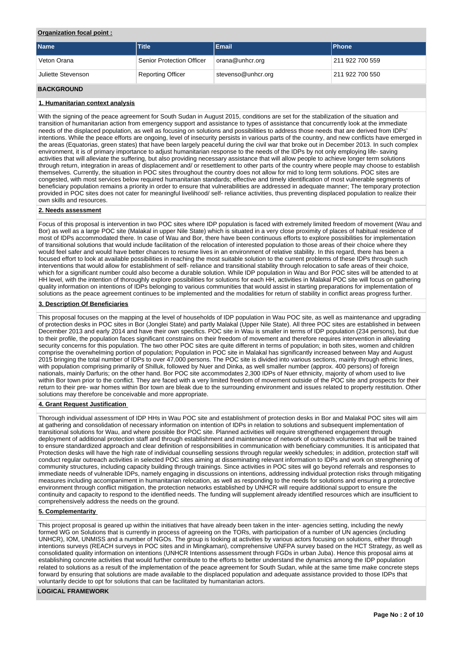### **Organization focal point :**

| <b>Name</b>        | Title                            | Email              | <b>Phone</b>    |
|--------------------|----------------------------------|--------------------|-----------------|
| Veton Orana        | <b>Senior Protection Officer</b> | orana@unhcr.org    | 211 922 700 559 |
| Juliette Stevenson | <b>Reporting Officer</b>         | stevenso@unhcr.org | 211 922 700 550 |

## **BACKGROUND**

### **1. Humanitarian context analysis**

With the signing of the peace agreement for South Sudan in August 2015, conditions are set for the stabilization of the situation and transition of humanitarian action from emergency support and assistance to types of assistance that concurrently look at the immediate needs of the displaced population, as well as focusing on solutions and possibilities to address those needs that are derived from IDPs' intentions. While the peace efforts are ongoing, level of insecurity persists in various parts of the country, and new conflicts have emerged in the areas (Equatorias, green states) that have been largely peaceful during the civil war that broke out in December 2013. In such complex environment, it is of primary importance to adjust humanitarian response to the needs of the IDPs by not only employing life- saving activities that will alleviate the suffering, but also providing necessary assistance that will allow people to achieve longer term solutions through return, integration in areas of displacement and/ or resettlement to other parts of the country where people may choose to establish themselves. Currently, the situation in POC sites throughout the country does not allow for mid to long term solutions. POC sites are congested, with most services below required humanitarian standards; effective and timely identification of most vulnerable segments of beneficiary population remains a priority in order to ensure that vulnerabilities are addressed in adequate manner; The temporary protection provided in POC sites does not cater for meaningful livelihood/ self- reliance activities, thus preventing displaced population to realize their own skills and resources.

#### **2. Needs assessment**

Focus of this proposal is intervention in two POC sites where IDP population is faced with extremely limited freedom of movement (Wau and Bor) as well as a large POC site (Malakal in upper Nile State) which is situated in a very close proximity of places of habitual residence of most of IDPs accommodated there. In case of Wau and Bor, there have been continuous efforts to explore possibilities for implementation of transitional solutions that would include facilitation of the relocation of interested population to those areas of their choice where they would feel safer and would have better chances to resume lives in an environment of relative stability. In this regard, there has been a focused effort to look at available possibilities in reaching the most suitable solution to the current problems of these IDPs through such interventions that would allow for establishment of self- reliance and transitional stability through relocation to safe areas of their choice, which for a significant number could also become a durable solution. While IDP population in Wau and Bor POC sites will be attended to at HH level, with the intention of thoroughly explore possibilities for solutions for each HH, activities in Malakal POC site will focus on gathering quality information on intentions of IDPs belonging to various communities that would assist in starting preparations for implementation of solutions as the peace agreement continues to be implemented and the modalities for return of stability in conflict areas progress further.

#### **3. Description Of Beneficiaries**

This proposal focuses on the mapping at the level of households of IDP population in Wau POC site, as well as maintenance and upgrading of protection desks in POC sites in Bor (Jonglei State) and partly Malakal (Upper Nile State). All three POC sites are established in between December 2013 and early 2014 and have their own specifics. POC site in Wau is smaller in terms of IDP population (234 persons), but due to their profile, the population faces significant constrains on their freedom of movement and therefore requires intervention in alleviating security concerns for this population. The two other POC sites are quite different in terms of population; in both sites, women and children comprise the overwhelming portion of population; Population in POC site in Malakal has significantly increased between May and August 2015 bringing the total number of IDPs to over 47,000 persons. The POC site is divided into various sections, mainly through ethnic lines, with population comprising primarily of Shilluk, followed by Nuer and Dinka, as well smaller number (approx. 400 persons) of foreign nationals, mainly Darfuris; on the other hand. Bor POC site accommodates 2,300 IDPs of Nuer ethnicity, majority of whom used to live within Bor town prior to the conflict. They are faced with a very limited freedom of movement outside of the POC site and prospects for their return to their pre- war homes within Bor town are bleak due to the surrounding environment and issues related to property restitution. Other solutions may therefore be conceivable and more appropriate.

#### **4. Grant Request Justification**

Thorough individual assessment of IDP HHs in Wau POC site and establishment of protection desks in Bor and Malakal POC sites will aim at gathering and consolidation of necessary information on intention of IDPs in relation to solutions and subsequent implementation of transitional solutions for Wau, and where possible Bor POC site. Planned activities will require strengthened engagement through deployment of additional protection staff and through establishment and maintenance of network of outreach volunteers that will be trained to ensure standardized approach and clear definition of responsibilities in communication with beneficiary communities. It is anticipated that Protection desks will have the high rate of individual counselling sessions through regular weekly schedules; in addition, protection staff will conduct regular outreach activities in selected POC sites aiming at disseminating relevant information to IDPs and work on strengthening of community structures, including capacity building through trainings. Since activities in POC sites will go beyond referrals and responses to immediate needs of vulnerable IDPs, namely engaging in discussions on intentions, addressing individual protection risks through mitigating measures including accompaniment in humanitarian relocation, as well as responding to the needs for solutions and ensuring a protective environment through conflict mitigation, the protection networks established by UNHCR will require additional support to ensure the continuity and capacity to respond to the identified needs. The funding will supplement already identified resources which are insufficient to comprehensively address the needs on the ground.

#### **5. Complementarity**

This project proposal is geared up within the initiatives that have already been taken in the inter- agencies setting, including the newly formed WG on Solutions that is currently in process of agreeing on the TORs, with participation of a number of UN agencies (including UNHCR), IOM, UNMISS and a number of NGOs. The group is looking at activities by various actors focusing on solutions, either through intentions surveys (REACH surveys in POC sites and in Mingkaman), comprehensive UNFPA survey based on the HCT Strategy, as well as consolidated quality information on intentions (UNHCR Intentions assessment through FGDs in urban Juba). Hence this proposal aims at establishing concrete activities that would further contribute to the efforts to better understand the dynamics among the IDP population related to solutions as a result of the implementation of the peace agreement for South Sudan, while at the same time make concrete steps forward by ensuring that solutions are made available to the displaced population and adequate assistance provided to those IDPs that voluntarily decide to opt for solutions that can be facilitated by humanitarian actors.

#### **LOGICAL FRAMEWORK**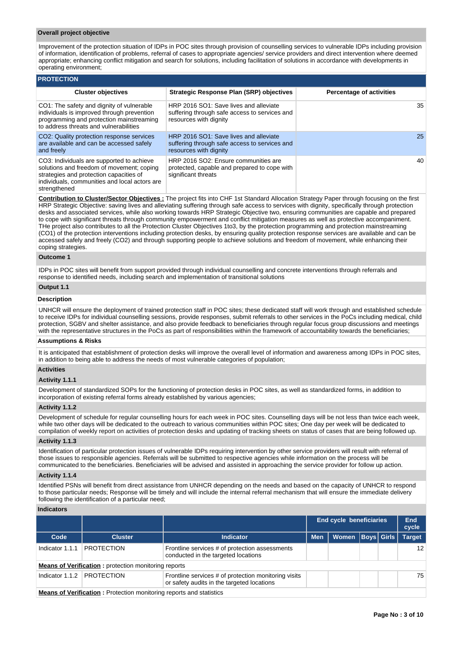#### **Overall project objective**

Improvement of the protection situation of IDPs in POC sites through provision of counselling services to vulnerable IDPs including provision of information, identification of problems, referral of cases to appropriate agencies/ service providers and direct intervention where deemed appropriate; enhancing conflict mitigation and search for solutions, including facilitation of solutions in accordance with developments in operating environment;

#### **PROTECTION Cluster objectives Strategic Response Plan (SRP) objectives Percentage of activities** CO1: The safety and dignity of vulnerable individuals is improved through prevention programming and protection mainstreaming to address threats and vulnerabilities HRP 2016 SO1: Save lives and alleviate suffering through safe access to services and resources with dignity 35 CO2: Quality protection response services are available and can be accessed safely and freely HRP 2016 SO1: Save lives and alleviate suffering through safe access to services and resources with dignity 25 CO3: Individuals are supported to achieve solutions and freedom of movement; coping strategies and protection capacities of individuals, communities and local actors are strengthened HRP 2016 SO2: Ensure communities are protected, capable and prepared to cope with significant threats 40

**Contribution to Cluster/Sector Objectives :** The project fits into CHF 1st Standard Allocation Strategy Paper through focusing on the first HRP Strategic Objective: saving lives and alleviating suffering through safe access to services with dignity, specifically through protection desks and associated services, while also working towards HRP Strategic Objective two, ensuring communities are capable and prepared to cope with significant threats through community empowerment and conflict mitigation measures as well as protective accompaniment. THe project also contributes to all the Protection Cluster Objectives 1to3, by the protection programming and protection mainstreaming (CO1) of the protection interventions including protection desks, by ensuring quality protection response services are available and can be accessed safely and freely (CO2) and through supporting people to achieve solutions and freedom of movement, while enhancing their coping strategies.

#### **Outcome 1**

IDPs in POC sites will benefit from support provided through individual counselling and concrete interventions through referrals and response to identified needs, including search and implementation of transitional solutions

#### **Output 1.1**

### **Description**

UNHCR will ensure the deployment of trained protection staff in POC sites; these dedicated staff will work through and established schedule to receive IDPs for individual counselling sessions, provide responses, submit referrals to other services in the PoCs including medical, child protection, SGBV and shelter assistance, and also provide feedback to beneficiaries through regular focus group discussions and meetings with the representative structures in the PoCs as part of responsibilities within the framework of accountability towards the beneficiaries;

#### **Assumptions & Risks**

It is anticipated that establishment of protection desks will improve the overall level of information and awareness among IDPs in POC sites, in addition to being able to address the needs of most vulnerable categories of population;

### **Activities**

#### **Activity 1.1.1**

Development of standardized SOPs for the functioning of protection desks in POC sites, as well as standardized forms, in addition to incorporation of existing referral forms already established by various agencies;

#### **Activity 1.1.2**

Development of schedule for regular counselling hours for each week in POC sites. Counselling days will be not less than twice each week, while two other days will be dedicated to the outreach to various communities within POC sites; One day per week will be dedicated to compilation of weekly report on activities of protection desks and updating of tracking sheets on status of cases that are being followed up.

#### **Activity 1.1.3**

Identification of particular protection issues of vulnerable IDPs requiring intervention by other service providers will result with referral of those issues to responsible agencies. Referrals will be submitted to respective agencies while information on the process will be communicated to the beneficiaries. Beneficiaries will be advised and assisted in approaching the service provider for follow up action.

### **Activity 1.1.4**

Identified PSNs will benefit from direct assistance from UNHCR depending on the needs and based on the capacity of UNHCR to respond to those particular needs; Response will be timely and will include the internal referral mechanism that will ensure the immediate delivery following the identification of a particular need;

#### **Indicators**

|                 |                                                                            |                                                                                                    |            | End cycle beneficiaries |  |  |                 |  |  |  |
|-----------------|----------------------------------------------------------------------------|----------------------------------------------------------------------------------------------------|------------|-------------------------|--|--|-----------------|--|--|--|
| Code            | <b>Cluster</b>                                                             | <b>Indicator</b>                                                                                   | <b>Men</b> | Women   Boys   Girls    |  |  | <b>Target</b>   |  |  |  |
| Indicator 1.1.1 | <b>PROTECTION</b>                                                          | Frontline services # of protection assessments<br>conducted in the targeted locations              |            |                         |  |  | 12 <sup>1</sup> |  |  |  |
|                 | <b>Means of Verification:</b> protection monitoring reports                |                                                                                                    |            |                         |  |  |                 |  |  |  |
| Indicator 1.1.2 | <b>PROTECTION</b>                                                          | Frontline services # of protection monitoring visits<br>or safety audits in the targeted locations |            |                         |  |  | 75              |  |  |  |
|                 | <b>Means of Verification:</b> Protection monitoring reports and statistics |                                                                                                    |            |                         |  |  |                 |  |  |  |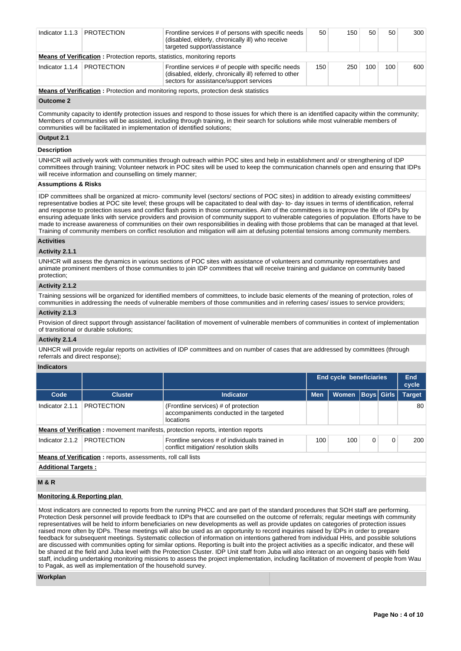| Indicator 1.1.3 | <b>PROTECTION</b>                                                                | Frontline services # of persons with specific needs<br>(disabled, elderly, chronically ill) who receive<br>targeted support/assistance                  | 50  | 150 | 50  | 50  | 300 |
|-----------------|----------------------------------------------------------------------------------|---------------------------------------------------------------------------------------------------------------------------------------------------------|-----|-----|-----|-----|-----|
|                 | <b>Means of Verification:</b> Protection reports, statistics, monitoring reports |                                                                                                                                                         |     |     |     |     |     |
| Indicator 1.1.4 | <b>PROTECTION</b>                                                                | Frontline services # of people with specific needs<br>(disabled, elderly, chronically ill) referred to other<br>sectors for assistance/support services | 150 | 250 | 100 | 100 | 600 |

**Means of Verification** : Protection and monitoring reports, protection desk statistics

### **Outcome 2**

Community capacity to identify protection issues and respond to those issues for which there is an identified capacity within the community; Members of communities will be assisted, including through training, in their search for solutions while most vulnerable members of communities will be facilitated in implementation of identified solutions;

### **Output 2.1**

## **Description**

UNHCR will actively work with communities through outreach within POC sites and help in establishment and/ or strengthening of IDP committees through training; Volunteer network in POC sites will be used to keep the communication channels open and ensuring that IDPs will receive information and counselling on timely manner;

#### **Assumptions & Risks**

IDP committees shall be organized at micro- community level (sectors/ sections of POC sites) in addition to already existing committees/ representative bodies at POC site level; these groups will be capacitated to deal with day- to- day issues in terms of identification, referral and response to protection issues and conflict flash points in those communities. Aim of the committees is to improve the life of IDPs by ensuring adequate links with service providers and provision of community support to vulnerable categories of population. Efforts have to be made to increase awareness of communities on their own responsibilities in dealing with those problems that can be managed at that level. Training of community members on conflict resolution and mitigation will aim at defusing potential tensions among community members.

#### **Activities**

### **Activity 2.1.1**

UNHCR will assess the dynamics in various sections of POC sites with assistance of volunteers and community representatives and animate prominent members of those communities to join IDP committees that will receive training and guidance on community based protection;

# **Activity 2.1.2**

Training sessions will be organized for identified members of committees, to include basic elements of the meaning of protection, roles of communities in addressing the needs of vulnerable members of those communities and in referring cases/ issues to service providers;

#### **Activity 2.1.3**

Provision of direct support through assistance/ facilitation of movement of vulnerable members of communities in context of implementation of transitional or durable solutions;

#### **Activity 2.1.4**

UNHCR will provide regular reports on activities of IDP committees and on number of cases that are addressed by committees (through referrals and direct response);

#### **Indicators**

|                                                                     |                   |                                                                                               | <b>End cycle beneficiaries</b> |              |                   |   | End<br>cycle  |  |  |
|---------------------------------------------------------------------|-------------------|-----------------------------------------------------------------------------------------------|--------------------------------|--------------|-------------------|---|---------------|--|--|
| Code                                                                | <b>Cluster</b>    | <b>Indicator</b>                                                                              | <b>Men</b>                     | <b>Women</b> | <b>Boys</b> Girls |   | <b>Target</b> |  |  |
| Indicator 2.1.1                                                     | <b>PROTECTION</b> | (Frontline services) # of protection<br>accompaniments conducted in the targeted<br>locations |                                |              |                   |   | 80            |  |  |
|                                                                     |                   | <b>Means of Verification:</b> movement manifests, protection reports, intention reports       |                                |              |                   |   |               |  |  |
| Indicator 2.1.2                                                     | <b>PROTECTION</b> | Frontline services # of individuals trained in<br>conflict mitigation/resolution skills       | 100                            | 100          |                   | 0 | 200           |  |  |
| <b>Means of Verification:</b> reports, assessments, roll call lists |                   |                                                                                               |                                |              |                   |   |               |  |  |
| <b>Additional Targets:</b>                                          |                   |                                                                                               |                                |              |                   |   |               |  |  |

# **M & R**

### **Monitoring & Reporting plan**

Most indicators are connected to reports from the running PHCC and are part of the standard procedures that SOH staff are performing. Protection Desk personnel will provide feedback to IDPs that are counselled on the outcome of referrals; regular meetings with community representatives will be held to inform beneficiaries on new developments as well as provide updates on categories of protection issues raised more often by IDPs. These meetings will also be used as an opportunity to record inquiries raised by IDPs in order to prepare feedback for subsequent meetings. Systematic collection of information on intentions gathered from individual HHs, and possible solutions are discussed with communities opting for similar options. Reporting is built into the project activities as a specific indicator, and these will be shared at the field and Juba level with the Protection Cluster. IDP Unit staff from Juba will also interact on an ongoing basis with field staff, including undertaking monitoring missions to assess the project implementation, including facilitation of movement of people from Wau to Pagak, as well as implementation of the household survey.

#### **Workplan**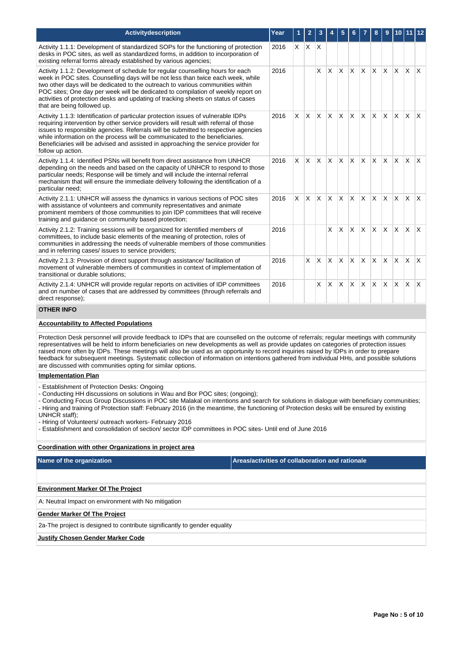| Activitydescription                                                                                                                                                                                                                                                                                                                                                                                                                                                                                                                                                                                                                   | Year |    |     |                   |              |          |          |              |              |          |              |              |                         |
|---------------------------------------------------------------------------------------------------------------------------------------------------------------------------------------------------------------------------------------------------------------------------------------------------------------------------------------------------------------------------------------------------------------------------------------------------------------------------------------------------------------------------------------------------------------------------------------------------------------------------------------|------|----|-----|-------------------|--------------|----------|----------|--------------|--------------|----------|--------------|--------------|-------------------------|
| Activity 1.1.1: Development of standardized SOPs for the functioning of protection<br>desks in POC sites, as well as standardized forms, in addition to incorporation of<br>existing referral forms already established by various agencies;                                                                                                                                                                                                                                                                                                                                                                                          | 2016 | X. | X.  | $\times$          |              |          |          |              |              |          |              |              |                         |
| Activity 1.1.2: Development of schedule for regular counselling hours for each<br>week in POC sites. Counselling days will be not less than twice each week, while<br>two other days will be dedicated to the outreach to various communities within<br>POC sites; One day per week will be dedicated to compilation of weekly report on<br>activities of protection desks and updating of tracking sheets on status of cases<br>that are being followed up.                                                                                                                                                                          | 2016 |    |     | X                 | IX.          | $\times$ | $\times$ |              | $X$ $X$      | X.       | ΙX.          | $\mathsf{X}$ | $\mathsf{X}$            |
| Activity 1.1.3: Identification of particular protection issues of vulnerable IDPs<br>requiring intervention by other service providers will result with referral of those<br>issues to responsible agencies. Referrals will be submitted to respective agencies<br>while information on the process will be communicated to the beneficiaries.<br>Beneficiaries will be advised and assisted in approaching the service provider for<br>follow up action.                                                                                                                                                                             | 2016 | X. | IX. | $X \mid X \mid X$ |              |          | ΙX.      | $\mathsf{X}$ | $\mathsf{X}$ | <b>X</b> | ΙX.          | $\mathsf{X}$ | ΙX.                     |
| Activity 1.1.4: Identified PSNs will benefit from direct assistance from UNHCR<br>depending on the needs and based on the capacity of UNHCR to respond to those<br>particular needs; Response will be timely and will include the internal referral<br>mechanism that will ensure the immediate delivery following the identification of a<br>particular need;                                                                                                                                                                                                                                                                        | 2016 | X. | X   | X.                | ΙX.          | $\times$ | X        | X            | X.           | X        | <b>X</b>     | X            | ΙX                      |
| Activity 2.1.1: UNHCR will assess the dynamics in various sections of POC sites<br>with assistance of volunteers and community representatives and animate<br>prominent members of those communities to join IDP committees that will receive<br>training and guidance on community based protection;                                                                                                                                                                                                                                                                                                                                 | 2016 | X. | X   | $\mathsf{X}$      | $\mathsf{X}$ | X.       | $\times$ | $\mathsf{X}$ | <b>X</b>     | X.       | $\mathsf{X}$ | $\mathsf{X}$ | $\mathsf{X}$            |
| Activity 2.1.2: Training sessions will be organized for identified members of<br>committees, to include basic elements of the meaning of protection, roles of<br>communities in addressing the needs of vulnerable members of those communities<br>and in referring cases/ issues to service providers;                                                                                                                                                                                                                                                                                                                               | 2016 |    |     |                   | X.           | X        | X        | X            | $x \times$   |          | ΙX.          | $\mathsf{X}$ | $\mathsf{I} \mathsf{X}$ |
| Activity 2.1.3: Provision of direct support through assistance/ facilitation of<br>movement of vulnerable members of communities in context of implementation of<br>transitional or durable solutions;                                                                                                                                                                                                                                                                                                                                                                                                                                | 2016 |    | X.  | X                 | <b>X</b>     | X        | X        | X            | $\mathsf{X}$ | $\times$ | $\mathsf{X}$ | X            | $\mathsf{X}$            |
| Activity 2.1.4: UNHCR will provide regular reports on activities of IDP committees<br>and on number of cases that are addressed by committees (through referrals and<br>direct response);                                                                                                                                                                                                                                                                                                                                                                                                                                             | 2016 |    |     | X                 | X.           | X        | X        | X            | <b>X</b>     | X.       | X.           | $\mathsf{X}$ | $\mathsf{I} \mathsf{X}$ |
| <b>OTHER INFO</b>                                                                                                                                                                                                                                                                                                                                                                                                                                                                                                                                                                                                                     |      |    |     |                   |              |          |          |              |              |          |              |              |                         |
| <b>Accountability to Affected Populations</b>                                                                                                                                                                                                                                                                                                                                                                                                                                                                                                                                                                                         |      |    |     |                   |              |          |          |              |              |          |              |              |                         |
| Protection Desk personnel will provide feedback to IDPs that are counselled on the outcome of referrals; regular meetings with community<br>representatives will be held to inform beneficiaries on new developments as well as provide updates on categories of protection issues<br>raised more often by IDPs. These meetings will also be used as an opportunity to record inquiries raised by IDPs in order to prepare<br>feedback for subsequent meetings. Systematic collection of information on intentions gathered from individual HHs, and possible solutions<br>are discussed with communities opting for similar options. |      |    |     |                   |              |          |          |              |              |          |              |              |                         |
| <b>Implementation Plan</b>                                                                                                                                                                                                                                                                                                                                                                                                                                                                                                                                                                                                            |      |    |     |                   |              |          |          |              |              |          |              |              |                         |
| - Establishment of Protection Desks: Ongoing<br>- Conducting HH discussions on solutions in Wau and Bor POC sites; (ongoing);<br>- Conducting Focus Group Discussions in POC site Malakal on intentions and search for solutions in dialogue with beneficiary communities;<br>- Hiring and training of Protection staff: February 2016 (in the meantime, the functioning of Protection desks will be ensured by existing<br>UNHCR staff);<br>- Hiring of Volunteers/ outreach workers- February 2016<br>- Establishment and consolidation of section/ sector IDP committees in POC sites- Until end of June 2016                      |      |    |     |                   |              |          |          |              |              |          |              |              |                         |
| Coordination with other Organizations in project area                                                                                                                                                                                                                                                                                                                                                                                                                                                                                                                                                                                 |      |    |     |                   |              |          |          |              |              |          |              |              |                         |

| Name of the organization                                                  | <b>Areas/activities of collaboration and rationale</b> |
|---------------------------------------------------------------------------|--------------------------------------------------------|
|                                                                           |                                                        |
| <b>Environment Marker Of The Project</b>                                  |                                                        |
| A: Neutral Impact on environment with No mitigation                       |                                                        |
| <b>Gender Marker Of The Project</b>                                       |                                                        |
| 2a-The project is designed to contribute significantly to gender equality |                                                        |
| <b>Justify Chosen Gender Marker Code</b>                                  |                                                        |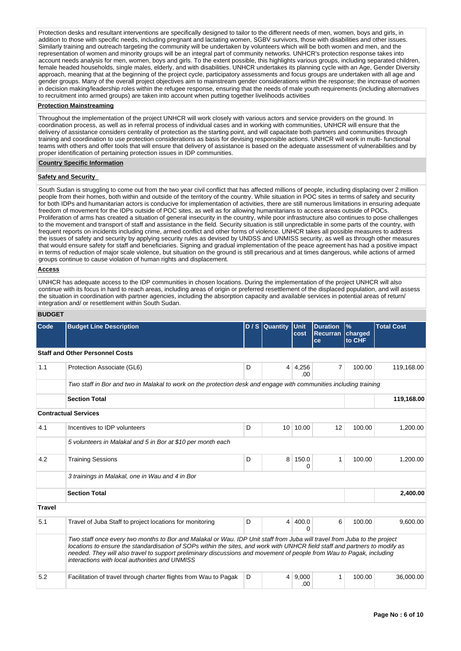Protection desks and resultant interventions are specifically designed to tailor to the different needs of men, women, boys and girls, in addition to those with specific needs, including pregnant and lactating women, SGBV survivors, those with disabilities and other issues. Similarly training and outreach targeting the community will be undertaken by volunteers which will be both women and men, and the representation of women and minority groups will be an integral part of community networks. UNHCR's protection response takes into account needs analysis for men, women, boys and girls. To the extent possible, this highlights various groups, including separated children, female headed households, single males, elderly, and with disabilities. UNHCR undertakes its planning cycle with an Age, Gender Diversity approach, meaning that at the beginning of the project cycle, participatory assessments and focus groups are undertaken with all age and gender groups. Many of the overall project objectives aim to mainstream gender considerations within the response; the increase of women in decision making/leadership roles within the refugee response, ensuring that the needs of male youth requirements (including alternatives to recruitment into armed groups) are taken into account when putting together livelihoods activities

#### **Protection Mainstreaming**

Throughout the implementation of the project UNHCR will work closely with various actors and service providers on the ground. In coordination process, as well as in referral process of individual cases and in working with communities, UNHCR will ensure that the delivery of assistance considers centrality of protection as the starting point, and will capacitate both partners and communities through training and coordination to use protection considerations as basis for devising responsible actions. UNHCR will work in multi- functional teams with others and offer tools that will ensure that delivery of assistance is based on the adequate assessment of vulnerabilities and by proper identification of pertaining protection issues in IDP communities.

#### **Country Specific Information**

#### **Safety and Security**

South Sudan is struggling to come out from the two year civil conflict that has affected millions of people, including displacing over 2 million people from their homes, both within and outside of the territory of the country. While situation in POC sites in terms of safety and security for both IDPs and humanitarian actors is conducive for implementation of activities, there are still numerous limitations in ensuring adequate freedom of movement for the IDPs outside of POC sites, as well as for allowing humanitarians to access areas outside of POCs. Proliferation of arms has created a situation of general insecurity in the country, while poor infrastructure also continues to pose challenges to the movement and transport of staff and assistance in the field. Security situation is still unpredictable in some parts of the country, with frequent reports on incidents including crime, armed conflict and other forms of violence. UNHCR takes all possible measures to address the issues of safety and security by applying security rules as devised by UNDSS and UNMISS security, as well as through other measures that would ensure safety for staff and beneficiaries. Signing and gradual implementation of the peace agreement has had a positive impact in terms of reduction of major scale violence, but situation on the ground is still precarious and at times dangerous, while actions of armed groups continue to cause violation of human rights and displacement.

#### **Access**

UNHCR has adequate access to the IDP communities in chosen locations. During the implementation of the project UNHCR will also continue with its focus in hard to reach areas, including areas of origin or preferred resettlement of the displaced population, and will assess the situation in coordination with partner agencies, including the absorption capacity and available services in potential areas of return/ integration and/ or resettlement within South Sudan.

### **BUDGET**

| Code          | <b>Budget Line Description</b>                                                                                                                                                                                                                                                                                                                                                                                                    |   | $D / S$ Quantity | Unit<br>cost      | <b>Duration</b><br>Recurran<br><b>ce</b> | $\mathsf{P}_{\mathsf{6}}$<br>charged<br>to CHF | <b>Total Cost</b> |
|---------------|-----------------------------------------------------------------------------------------------------------------------------------------------------------------------------------------------------------------------------------------------------------------------------------------------------------------------------------------------------------------------------------------------------------------------------------|---|------------------|-------------------|------------------------------------------|------------------------------------------------|-------------------|
|               | <b>Staff and Other Personnel Costs</b>                                                                                                                                                                                                                                                                                                                                                                                            |   |                  |                   |                                          |                                                |                   |
| 1.1           | Protection Associate (GL6)                                                                                                                                                                                                                                                                                                                                                                                                        | D | 4 <sup>1</sup>   | 4,256<br>.00      | $\overline{7}$                           | 100.00                                         | 119,168.00        |
|               | Two staff in Bor and two in Malakal to work on the protection desk and engage with communities including training                                                                                                                                                                                                                                                                                                                 |   |                  |                   |                                          |                                                |                   |
|               | <b>Section Total</b>                                                                                                                                                                                                                                                                                                                                                                                                              |   |                  |                   |                                          |                                                | 119,168.00        |
|               | <b>Contractual Services</b>                                                                                                                                                                                                                                                                                                                                                                                                       |   |                  |                   |                                          |                                                |                   |
| 4.1           | Incentives to IDP volunteers                                                                                                                                                                                                                                                                                                                                                                                                      | D | 10 <sup>1</sup>  | 10.00             | 12                                       | 100.00                                         | 1,200.00          |
|               | 5 volunteers in Malakal and 5 in Bor at \$10 per month each                                                                                                                                                                                                                                                                                                                                                                       |   |                  |                   |                                          |                                                |                   |
| 4.2           | <b>Training Sessions</b>                                                                                                                                                                                                                                                                                                                                                                                                          | D | 8                | 150.0<br>0        | 1                                        | 100.00                                         | 1,200.00          |
|               | 3 trainings in Malakal, one in Wau and 4 in Bor                                                                                                                                                                                                                                                                                                                                                                                   |   |                  |                   |                                          |                                                |                   |
|               | <b>Section Total</b>                                                                                                                                                                                                                                                                                                                                                                                                              |   |                  |                   |                                          |                                                | 2,400.00          |
| <b>Travel</b> |                                                                                                                                                                                                                                                                                                                                                                                                                                   |   |                  |                   |                                          |                                                |                   |
| 5.1           | Travel of Juba Staff to project locations for monitoring                                                                                                                                                                                                                                                                                                                                                                          | D | 4                | 400.0<br>$\Omega$ | 6                                        | 100.00                                         | 9,600.00          |
|               | Two staff once every two months to Bor and Malakal or Wau. IDP Unit staff from Juba will travel from Juba to the project<br>locations to ensure the standardisation of SOPs within the sites, and work with UNHCR field staff and partners to modify as<br>needed. They will also travel to support preliminary discussions and movement of people from Wau to Pagak, including<br>interactions with local authorities and UNMISS |   |                  |                   |                                          |                                                |                   |
| 5.2           | Facilitation of travel through charter flights from Wau to Pagak                                                                                                                                                                                                                                                                                                                                                                  | D | 4                | 9.000<br>.00      | 1                                        | 100.00                                         | 36,000.00         |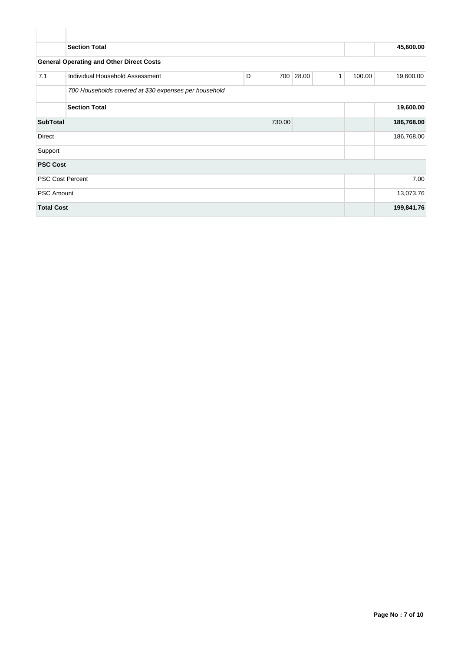|                         | <b>Section Total</b>                                  |   |        |           |   |        | 45,600.00  |
|-------------------------|-------------------------------------------------------|---|--------|-----------|---|--------|------------|
|                         | <b>General Operating and Other Direct Costs</b>       |   |        |           |   |        |            |
| 7.1                     | Individual Household Assessment                       | D |        | 700 28.00 | 1 | 100.00 | 19,600.00  |
|                         | 700 Households covered at \$30 expenses per household |   |        |           |   |        |            |
|                         | <b>Section Total</b>                                  |   |        |           |   |        | 19,600.00  |
| <b>SubTotal</b>         |                                                       |   | 730.00 |           |   |        | 186,768.00 |
| <b>Direct</b>           |                                                       |   |        |           |   |        | 186,768.00 |
| Support                 |                                                       |   |        |           |   |        |            |
| <b>PSC Cost</b>         |                                                       |   |        |           |   |        |            |
| <b>PSC Cost Percent</b> |                                                       |   |        |           |   |        | 7.00       |
| <b>PSC Amount</b>       |                                                       |   |        |           |   |        | 13,073.76  |
| <b>Total Cost</b>       |                                                       |   |        |           |   |        | 199,841.76 |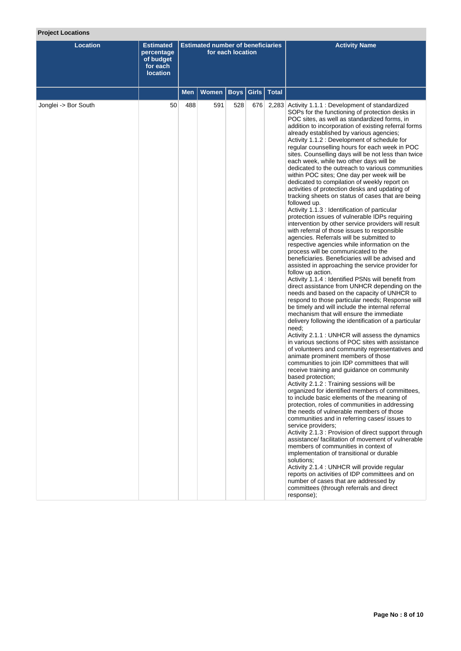# **Project Locations**

| <b>Location</b>      | <b>Estimated</b><br>percentage<br>of budget<br>for each<br><b>location</b> | <b>Estimated number of beneficiaries</b><br>for each location |              |             |       |              | <b>Activity Name</b>                                                                                                                                                                                                                                                                                                                                                                                                                                                                                                                                                                                                                                                                                                                                                                                                                                                                                                                                                                                                                                                                                                                                                                                                                                                                                                                                                                                                                                                                                                                                                                                                                                                                                                                                                                                                                                                                                                                                                                                                                                                                                                                                                                                                                                                                                                                                                                                                                                                                                                                                                                                                                                     |
|----------------------|----------------------------------------------------------------------------|---------------------------------------------------------------|--------------|-------------|-------|--------------|----------------------------------------------------------------------------------------------------------------------------------------------------------------------------------------------------------------------------------------------------------------------------------------------------------------------------------------------------------------------------------------------------------------------------------------------------------------------------------------------------------------------------------------------------------------------------------------------------------------------------------------------------------------------------------------------------------------------------------------------------------------------------------------------------------------------------------------------------------------------------------------------------------------------------------------------------------------------------------------------------------------------------------------------------------------------------------------------------------------------------------------------------------------------------------------------------------------------------------------------------------------------------------------------------------------------------------------------------------------------------------------------------------------------------------------------------------------------------------------------------------------------------------------------------------------------------------------------------------------------------------------------------------------------------------------------------------------------------------------------------------------------------------------------------------------------------------------------------------------------------------------------------------------------------------------------------------------------------------------------------------------------------------------------------------------------------------------------------------------------------------------------------------------------------------------------------------------------------------------------------------------------------------------------------------------------------------------------------------------------------------------------------------------------------------------------------------------------------------------------------------------------------------------------------------------------------------------------------------------------------------------------------------|
|                      |                                                                            | <b>Men</b>                                                    | <b>Women</b> | <b>Boys</b> | Girls | <b>Total</b> |                                                                                                                                                                                                                                                                                                                                                                                                                                                                                                                                                                                                                                                                                                                                                                                                                                                                                                                                                                                                                                                                                                                                                                                                                                                                                                                                                                                                                                                                                                                                                                                                                                                                                                                                                                                                                                                                                                                                                                                                                                                                                                                                                                                                                                                                                                                                                                                                                                                                                                                                                                                                                                                          |
| Jonglei -> Bor South | 50                                                                         | 488                                                           | 591          | 528         | 676   |              | 2,283 Activity 1.1.1 : Development of standardized<br>SOPs for the functioning of protection desks in<br>POC sites, as well as standardized forms, in<br>addition to incorporation of existing referral forms<br>already established by various agencies;<br>Activity 1.1.2: Development of schedule for<br>regular counselling hours for each week in POC<br>sites. Counselling days will be not less than twice<br>each week, while two other days will be<br>dedicated to the outreach to various communities<br>within POC sites; One day per week will be<br>dedicated to compilation of weekly report on<br>activities of protection desks and updating of<br>tracking sheets on status of cases that are being<br>followed up.<br>Activity 1.1.3 : Identification of particular<br>protection issues of vulnerable IDPs requiring<br>intervention by other service providers will result<br>with referral of those issues to responsible<br>agencies. Referrals will be submitted to<br>respective agencies while information on the<br>process will be communicated to the<br>beneficiaries. Beneficiaries will be advised and<br>assisted in approaching the service provider for<br>follow up action.<br>Activity 1.1.4 : Identified PSNs will benefit from<br>direct assistance from UNHCR depending on the<br>needs and based on the capacity of UNHCR to<br>respond to those particular needs; Response will<br>be timely and will include the internal referral<br>mechanism that will ensure the immediate<br>delivery following the identification of a particular<br>need;<br>Activity 2.1.1 : UNHCR will assess the dynamics<br>in various sections of POC sites with assistance<br>of volunteers and community representatives and<br>animate prominent members of those<br>communities to join IDP committees that will<br>receive training and guidance on community<br>based protection;<br>Activity 2.1.2 : Training sessions will be<br>organized for identified members of committees,<br>to include basic elements of the meaning of<br>protection, roles of communities in addressing<br>the needs of vulnerable members of those<br>communities and in referring cases/ issues to<br>service providers;<br>Activity 2.1.3 : Provision of direct support through<br>assistance/ facilitation of movement of vulnerable<br>members of communities in context of<br>implementation of transitional or durable<br>solutions;<br>Activity 2.1.4 : UNHCR will provide regular<br>reports on activities of IDP committees and on<br>number of cases that are addressed by<br>committees (through referrals and direct<br>response); |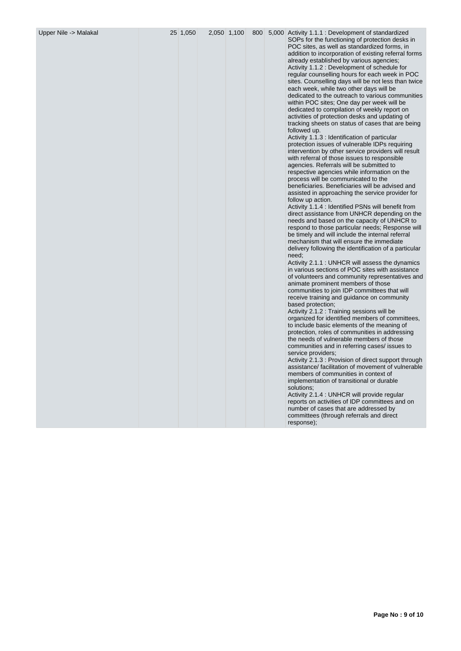| Upper Nile -> Malakal | 25 1,050 | 2,050 1,100 | 800 | 5,000 Activity 1.1.1 : Development of standardized<br>SOPs for the functioning of protection desks in<br>POC sites, as well as standardized forms, in<br>addition to incorporation of existing referral forms<br>already established by various agencies;<br>Activity 1.1.2 : Development of schedule for<br>regular counselling hours for each week in POC<br>sites. Counselling days will be not less than twice<br>each week, while two other days will be<br>dedicated to the outreach to various communities<br>within POC sites; One day per week will be<br>dedicated to compilation of weekly report on<br>activities of protection desks and updating of<br>tracking sheets on status of cases that are being<br>followed up.<br>Activity 1.1.3 : Identification of particular<br>protection issues of vulnerable IDPs requiring<br>intervention by other service providers will result<br>with referral of those issues to responsible<br>agencies. Referrals will be submitted to<br>respective agencies while information on the<br>process will be communicated to the<br>beneficiaries. Beneficiaries will be advised and<br>assisted in approaching the service provider for<br>follow up action.<br>Activity 1.1.4 : Identified PSNs will benefit from<br>direct assistance from UNHCR depending on the        |
|-----------------------|----------|-------------|-----|--------------------------------------------------------------------------------------------------------------------------------------------------------------------------------------------------------------------------------------------------------------------------------------------------------------------------------------------------------------------------------------------------------------------------------------------------------------------------------------------------------------------------------------------------------------------------------------------------------------------------------------------------------------------------------------------------------------------------------------------------------------------------------------------------------------------------------------------------------------------------------------------------------------------------------------------------------------------------------------------------------------------------------------------------------------------------------------------------------------------------------------------------------------------------------------------------------------------------------------------------------------------------------------------------------------------------------|
|                       |          |             |     | needs and based on the capacity of UNHCR to<br>respond to those particular needs; Response will<br>be timely and will include the internal referral<br>mechanism that will ensure the immediate<br>delivery following the identification of a particular<br>need;<br>Activity 2.1.1 : UNHCR will assess the dynamics<br>in various sections of POC sites with assistance<br>of volunteers and community representatives and<br>animate prominent members of those<br>communities to join IDP committees that will<br>receive training and guidance on community<br>based protection;<br>Activity 2.1.2 : Training sessions will be<br>organized for identified members of committees,<br>to include basic elements of the meaning of<br>protection, roles of communities in addressing<br>the needs of vulnerable members of those<br>communities and in referring cases/ issues to<br>service providers;<br>Activity 2.1.3 : Provision of direct support through<br>assistance/ facilitation of movement of vulnerable<br>members of communities in context of<br>implementation of transitional or durable<br>solutions;<br>Activity 2.1.4 : UNHCR will provide regular<br>reports on activities of IDP committees and on<br>number of cases that are addressed by<br>committees (through referrals and direct<br>response); |